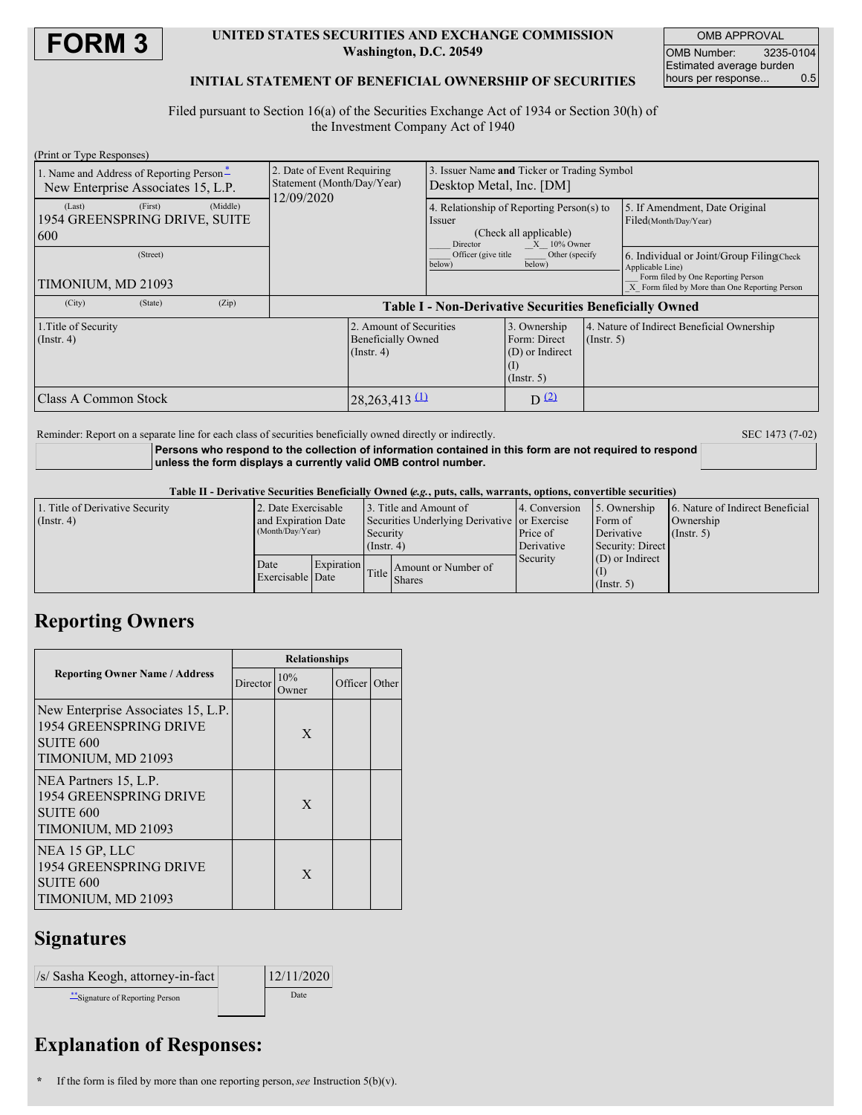

#### **UNITED STATES SECURITIES AND EXCHANGE COMMISSION Washington, D.C. 20549**

OMB APPROVAL OMB Number: 3235-0104 Estimated average burden<br>hours per response... 0.5 hours per response...

### **INITIAL STATEMENT OF BENEFICIAL OWNERSHIP OF SECURITIES**

Filed pursuant to Section 16(a) of the Securities Exchange Act of 1934 or Section 30(h) of the Investment Company Act of 1940

| (Print or Type Responses)                                                                                            |                                                                        |                                                                                                                                                                            |                                                                     |                  |                                                                                                                                                       |  |
|----------------------------------------------------------------------------------------------------------------------|------------------------------------------------------------------------|----------------------------------------------------------------------------------------------------------------------------------------------------------------------------|---------------------------------------------------------------------|------------------|-------------------------------------------------------------------------------------------------------------------------------------------------------|--|
| 1. Name and Address of Reporting Person-<br>New Enterprise Associates 15, L.P.                                       | 2. Date of Event Requiring<br>Statement (Month/Day/Year)<br>12/09/2020 | Issuer Name and Ticker or Trading Symbol<br>Desktop Metal, Inc. [DM]                                                                                                       |                                                                     |                  |                                                                                                                                                       |  |
| (Middle)<br>(First)<br>(Last)<br>1954 GREENSPRING DRIVE, SUITE<br>600                                                |                                                                        | 4. Relationship of Reporting Person(s) to<br>Issuer<br>(Check all applicable)<br>Director<br>$X = 10\%$ Owner<br>Officer (give title<br>Other (specify<br>below)<br>below) |                                                                     |                  | 5. If Amendment, Date Original<br>Filed(Month/Day/Year)                                                                                               |  |
| (Street)<br>TIMONIUM, MD 21093                                                                                       |                                                                        |                                                                                                                                                                            |                                                                     |                  | 6. Individual or Joint/Group Filing(Check<br>Applicable Line)<br>Form filed by One Reporting Person<br>X Form filed by More than One Reporting Person |  |
| (City)<br>(State)<br>(Zip)                                                                                           | <b>Table I - Non-Derivative Securities Beneficially Owned</b>          |                                                                                                                                                                            |                                                                     |                  |                                                                                                                                                       |  |
| 2. Amount of Securities<br>1. Title of Security<br><b>Beneficially Owned</b><br>$($ Instr. 4 $)$<br>$($ Instr. 4 $)$ |                                                                        |                                                                                                                                                                            | 3. Ownership<br>Form: Direct<br>(D) or Indirect<br>$($ Instr. 5 $)$ | $($ Instr. 5 $)$ | 4. Nature of Indirect Beneficial Ownership                                                                                                            |  |
| $28,263,413$ (1)<br><b>Class A Common Stock</b>                                                                      |                                                                        |                                                                                                                                                                            | D(2)                                                                |                  |                                                                                                                                                       |  |

Reminder: Report on a separate line for each class of securities beneficially owned directly or indirectly. SEC 1473 (7-02)

**Persons who respond to the collection of information contained in this form are not required to respond unless the form displays a currently valid OMB control number.**

#### Table II - Derivative Securities Beneficially Owned (e.g., puts, calls, warrants, options, convertible securities)

| 1. Title of Derivative Security<br>(Insert 4) | 2. Date Exercisable<br>and Expiration Date<br>(Month/Day/Year) |                   | Security<br>$($ Instr. 4 $)$ | 3. Title and Amount of<br>Securities Underlying Derivative or Exercise | 4. Conversion<br>Price of<br>Derivative           | 5. Ownership<br>Form of<br>Derivative<br>Security: Direct | 6. Nature of Indirect Beneficial<br>Ownership<br>(Insert, 5) |
|-----------------------------------------------|----------------------------------------------------------------|-------------------|------------------------------|------------------------------------------------------------------------|---------------------------------------------------|-----------------------------------------------------------|--------------------------------------------------------------|
|                                               | Date<br>Exercisable Date                                       | <b>Expiration</b> |                              | Amount or Number of<br>Title Shares                                    | $(D)$ or Indirect<br>Security<br>$($ Instr. 5 $)$ |                                                           |                                                              |

## **Reporting Owners**

|                                                                                                            | <b>Relationships</b> |              |                      |       |  |
|------------------------------------------------------------------------------------------------------------|----------------------|--------------|----------------------|-------|--|
| <b>Reporting Owner Name / Address</b>                                                                      | Director             | 10%<br>Owner | Officer <sup>1</sup> | Other |  |
| New Enterprise Associates 15, L.P.<br>1954 GREENSPRING DRIVE<br>SUITE <sub>600</sub><br>TIMONIUM, MD 21093 |                      | X            |                      |       |  |
| NEA Partners 15, L.P.<br><b>1954 GREENSPRING DRIVE</b><br>SUITE <sub>600</sub><br>TIMONIUM, MD 21093       |                      | X            |                      |       |  |
| NEA 15 GP, LLC<br>1954 GREENSPRING DRIVE<br>SUITE <sub>600</sub><br>TIMONIUM, MD 21093                     |                      | X            |                      |       |  |

### **Signatures**

| /s/ Sasha Keogh, attorney-in-fact | 12/11/2020 |
|-----------------------------------|------------|
| Signature of Reporting Person     | Date       |

# **Explanation of Responses:**

**\*** If the form is filed by more than one reporting person,*see* Instruction 5(b)(v).